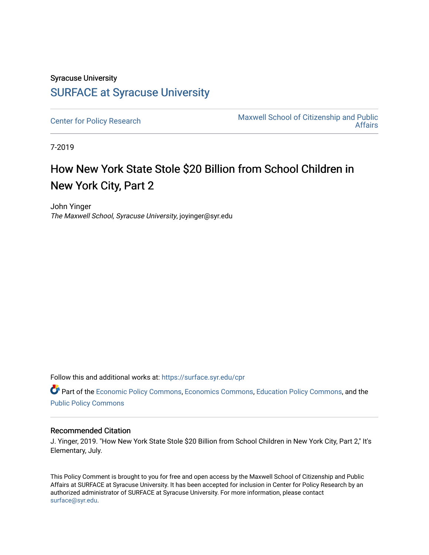### Syracuse University [SURFACE at Syracuse University](https://surface.syr.edu/)

[Center for Policy Research](https://surface.syr.edu/cpr) Maxwell School of Citizenship and Public<br>Affairs [Affairs](https://surface.syr.edu/maxwell) 

7-2019

# How New York State Stole \$20 Billion from School Children in New York City, Part 2

John Yinger The Maxwell School, Syracuse University, joyinger@syr.edu

Follow this and additional works at: [https://surface.syr.edu/cpr](https://surface.syr.edu/cpr?utm_source=surface.syr.edu%2Fcpr%2F331&utm_medium=PDF&utm_campaign=PDFCoverPages) 

Part of the [Economic Policy Commons](http://network.bepress.com/hgg/discipline/1025?utm_source=surface.syr.edu%2Fcpr%2F331&utm_medium=PDF&utm_campaign=PDFCoverPages), [Economics Commons,](http://network.bepress.com/hgg/discipline/340?utm_source=surface.syr.edu%2Fcpr%2F331&utm_medium=PDF&utm_campaign=PDFCoverPages) [Education Policy Commons](http://network.bepress.com/hgg/discipline/1026?utm_source=surface.syr.edu%2Fcpr%2F331&utm_medium=PDF&utm_campaign=PDFCoverPages), and the [Public Policy Commons](http://network.bepress.com/hgg/discipline/400?utm_source=surface.syr.edu%2Fcpr%2F331&utm_medium=PDF&utm_campaign=PDFCoverPages)

#### Recommended Citation

J. Yinger, 2019. "How New York State Stole \$20 Billion from School Children in New York City, Part 2," It's Elementary, July.

This Policy Comment is brought to you for free and open access by the Maxwell School of Citizenship and Public Affairs at SURFACE at Syracuse University. It has been accepted for inclusion in Center for Policy Research by an authorized administrator of SURFACE at Syracuse University. For more information, please contact [surface@syr.edu.](mailto:surface@syr.edu)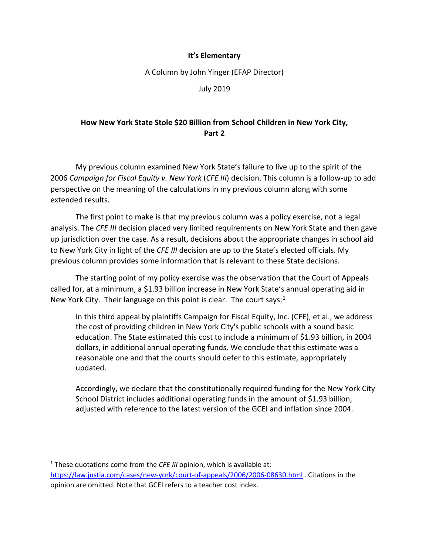#### **It's Elementary**

A Column by John Yinger (EFAP Director)

July 2019

### **How New York State Stole \$20 Billion from School Children in New York City, Part 2**

My previous column examined New York State's failure to live up to the spirit of the 2006 *Campaign for Fiscal Equity v. New York* (*CFE III*) decision. This column is a follow-up to add perspective on the meaning of the calculations in my previous column along with some extended results.

The first point to make is that my previous column was a policy exercise, not a legal analysis. The *CFE III* decision placed very limited requirements on New York State and then gave up jurisdiction over the case. As a result, decisions about the appropriate changes in school aid to New York City in light of the *CFE III* decision are up to the State's elected officials. My previous column provides some information that is relevant to these State decisions.

The starting point of my policy exercise was the observation that the Court of Appeals called for, at a minimum, a \$1.93 billion increase in New York State's annual operating aid in New York City. Their language on this point is clear. The court says: $<sup>1</sup>$ </sup>

In this third appeal by plaintiffs Campaign for Fiscal Equity, Inc. (CFE), et al., we address the cost of providing children in New York City's public schools with a sound basic education. The State estimated this cost to include a minimum of \$1.93 billion, in 2004 dollars, in additional annual operating funds. We conclude that this estimate was a reasonable one and that the courts should defer to this estimate, appropriately updated.

Accordingly, we declare that the constitutionally required funding for the New York City School District includes additional operating funds in the amount of \$1.93 billion, adjusted with reference to the latest version of the GCEI and inflation since 2004.

 $\overline{a}$ 

<span id="page-1-0"></span><sup>&</sup>lt;sup>1</sup> These quotations come from the *CFE III* opinion, which is available at: <https://law.justia.com/cases/new-york/court-of-appeals/2006/2006-08630.html>. Citations in the opinion are omitted. Note that GCEI refers to a teacher cost index.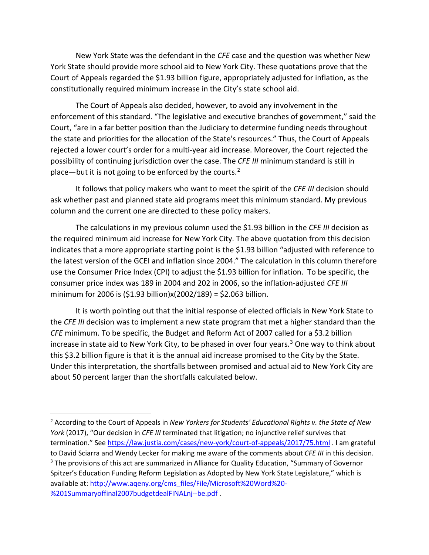New York State was the defendant in the *CFE* case and the question was whether New York State should provide more school aid to New York City. These quotations prove that the Court of Appeals regarded the \$1.93 billion figure, appropriately adjusted for inflation, as the constitutionally required minimum increase in the City's state school aid.

The Court of Appeals also decided, however, to avoid any involvement in the enforcement of this standard. "The legislative and executive branches of government," said the Court, "are in a far better position than the Judiciary to determine funding needs throughout the state and priorities for the allocation of the State's resources." Thus, the Court of Appeals rejected a lower court's order for a multi-year aid increase. Moreover, the Court rejected the possibility of continuing jurisdiction over the case. The *CFE III* minimum standard is still in place—but it is not going to be enforced by the courts.<sup>2</sup>

It follows that policy makers who want to meet the spirit of the *CFE III* decision should ask whether past and planned state aid programs meet this minimum standard. My previous column and the current one are directed to these policy makers.

The calculations in my previous column used the \$1.93 billion in the *CFE III* decision as the required minimum aid increase for New York City. The above quotation from this decision indicates that a more appropriate starting point is the \$1.93 billion "adjusted with reference to the latest version of the GCEI and inflation since 2004." The calculation in this column therefore use the Consumer Price Index (CPI) to adjust the \$1.93 billion for inflation. To be specific, the consumer price index was 189 in 2004 and 202 in 2006, so the inflation-adjusted *CFE III*  minimum for 2006 is (\$1.93 billion)x(2002/189) = \$2.063 billion.

It is worth pointing out that the initial response of elected officials in New York State to the *CFE III* decision was to implement a new state program that met a higher standard than the *CFE* minimum. To be specific, the Budget and Reform Act of 2007 called for a \$3.2 billion increase in state aid to New York City, to be phased in over four years.<sup>[3](#page-2-1)</sup> One way to think about this \$3.2 billion figure is that it is the annual aid increase promised to the City by the State. Under this interpretation, the shortfalls between promised and actual aid to New York City are about 50 percent larger than the shortfalls calculated below.

l

<span id="page-2-1"></span><span id="page-2-0"></span><sup>2</sup> According to the Court of Appeals in *New Yorkers for Students' Educational Rights v. the State of New York* (2017), "Our decision in *CFE III* terminated that litigation; no injunctive relief survives that termination." Se[e https://law.justia.com/cases/new-york/court-of-appeals/2017/75.html](https://law.justia.com/cases/new-york/court-of-appeals/2017/75.html) . I am grateful to David Sciarra and Wendy Lecker for making me aware of the comments about *CFE III* in this decision. <sup>3</sup> The provisions of this act are summarized in Alliance for Quality Education, "Summary of Governor Spitzer's Education Funding Reform Legislation as Adopted by New York State Legislature," which is available at[: http://www.aqeny.org/cms\\_files/File/Microsoft%20Word%20-](http://www.aqeny.org/cms_files/File/Microsoft%20Word%20-%201Summaryoffinal2007budgetdealFINALnj--be.pdf) [%201Summaryoffinal2007budgetdealFINALnj--be.pdf](http://www.aqeny.org/cms_files/File/Microsoft%20Word%20-%201Summaryoffinal2007budgetdealFINALnj--be.pdf) .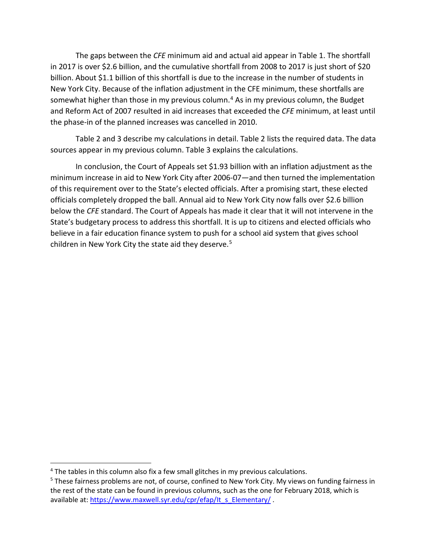The gaps between the *CFE* minimum aid and actual aid appear in Table 1. The shortfall in 2017 is over \$2.6 billion, and the cumulative shortfall from 2008 to 2017 is just short of \$20 billion. About \$1.1 billion of this shortfall is due to the increase in the number of students in New York City. Because of the inflation adjustment in the CFE minimum, these shortfalls are somewhat higher than those in my previous column.<sup>4</sup> As in my previous column, the Budget and Reform Act of 2007 resulted in aid increases that exceeded the *CFE* minimum, at least until the phase-in of the planned increases was cancelled in 2010.

Table 2 and 3 describe my calculations in detail. Table 2 lists the required data. The data sources appear in my previous column. Table 3 explains the calculations.

In conclusion, the Court of Appeals set \$1.93 billion with an inflation adjustment as the minimum increase in aid to New York City after 2006-07—and then turned the implementation of this requirement over to the State's elected officials. After a promising start, these elected officials completely dropped the ball. Annual aid to New York City now falls over \$2.6 billion below the *CFE* standard. The Court of Appeals has made it clear that it will not intervene in the State's budgetary process to address this shortfall. It is up to citizens and elected officials who believe in a fair education finance system to push for a school aid system that gives school children in New York City the state aid they deserve.<sup>[5](#page-3-1)</sup>

 $\overline{\phantom{a}}$ 

<span id="page-3-1"></span><span id="page-3-0"></span><sup>&</sup>lt;sup>4</sup> The tables in this column also fix a few small glitches in my previous calculations.<br><sup>5</sup> These fairness problems are not, of course, confined to New York City. My views on funding fairness in the rest of the state can be found in previous columns, such as the one for February 2018, which is available at: https://www.maxwell.syr.edu/cpr/efap/lt s Elementary/ .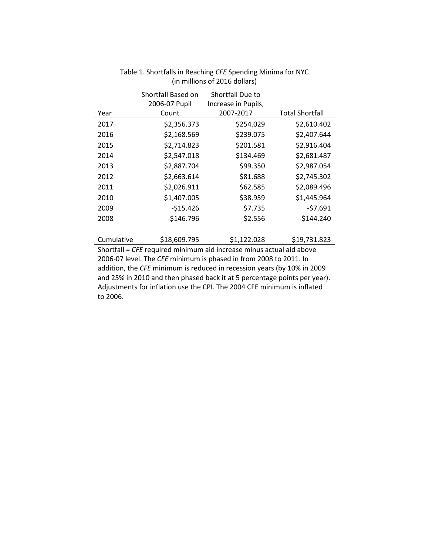| (in millions of 2016 dollars) |                                     |                                         |                        |  |  |  |  |
|-------------------------------|-------------------------------------|-----------------------------------------|------------------------|--|--|--|--|
|                               | Shortfall Based on<br>2006-07 Pupil | Shortfall Due to<br>Increase in Pupils, |                        |  |  |  |  |
| Year                          | Count                               | 2007-2017                               | <b>Total Shortfall</b> |  |  |  |  |
| 2017                          | \$2,356.373                         | \$254.029                               | \$2,610.402            |  |  |  |  |
| 2016                          | \$2,168.569                         | \$239.075                               | \$2,407.644            |  |  |  |  |
| 2015                          | \$2,714.823                         | \$201.581                               | \$2,916.404            |  |  |  |  |
| 2014                          | \$2,547.018                         | \$134.469                               | \$2,681.487            |  |  |  |  |
| 2013                          | \$2,887.704                         | \$99.350                                | \$2,987.054            |  |  |  |  |
| 2012                          | \$2,663.614                         | \$81.688                                | \$2,745.302            |  |  |  |  |
| 2011                          | \$2,026.911                         | \$62.585                                | \$2,089.496            |  |  |  |  |
| 2010                          | \$1,407.005                         | \$38.959                                | \$1,445.964            |  |  |  |  |
| 2009                          | $-515.426$                          | \$7.735                                 | $-57.691$              |  |  |  |  |
| 2008                          | $-$146.796$                         | \$2.556                                 | $-$144.240$            |  |  |  |  |
|                               |                                     |                                         |                        |  |  |  |  |
| Cumulative                    | \$18,609.795                        | \$1,122.028                             | \$19,731.823           |  |  |  |  |

## Table 1. Shortfalls in Reaching *CFE* Spending Minima for NYC

Shortfall = *CFE* required minimum aid increase minus actual aid above 2006-07 level. The *CFE* minimum is phased in from 2008 to 2011. In addition, the *CFE* minimum is reduced in recession years (by 10% in 2009 and 25% in 2010 and then phased back it at 5 percentage points per year). Adjustments for inflation use the CPI. The 2004 CFE minimum is inflated to 2006.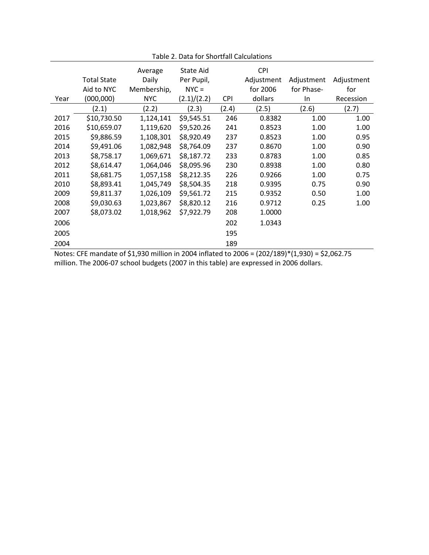|      |                    | Average     | <b>State Aid</b> |            | <b>CPI</b> |                |            |
|------|--------------------|-------------|------------------|------------|------------|----------------|------------|
|      | <b>Total State</b> | Daily       | Per Pupil,       |            | Adjustment | Adjustment     | Adjustment |
|      | Aid to NYC         | Membership, | $NYC =$          |            | for 2006   | for Phase-     | for        |
| Year | (000, 000)         | <b>NYC</b>  | (2.1)/(2.2)      | <b>CPI</b> | dollars    | In             | Recession  |
|      | (2.1)              | (2.2)       | (2.3)            | (2.4)      | (2.5)      | (2.6)          | (2.7)      |
| 2017 | \$10,730.50        | 1,124,141   | \$9,545.51       | 246        | 0.8382     | 1.00           | 1.00       |
| 2016 | \$10,659.07        | 1,119,620   | \$9,520.26       | 241        | 0.8523     | 1.00           | 1.00       |
| 2015 | \$9,886.59         | 1,108,301   | \$8,920.49       | 237        | 0.8523     | 1.00           | 0.95       |
| 2014 | \$9,491.06         | 1,082,948   | \$8,764.09       | 237        | 0.8670     | 1.00           | 0.90       |
| 2013 | \$8,758.17         | 1,069,671   | \$8,187.72       | 233        | 0.8783     | 1.00           | 0.85       |
| 2012 | \$8,614.47         | 1,064,046   | \$8,095.96       | 230        | 0.8938     | 1.00           | 0.80       |
| 2011 | \$8,681.75         | 1,057,158   | \$8,212.35       | 226        | 0.9266     | 1.00           | 0.75       |
| 2010 | \$8,893.41         | 1,045,749   | \$8,504.35       | 218        | 0.9395     | 0.75           | 0.90       |
| 2009 | \$9,811.37         | 1,026,109   | \$9,561.72       | 215        | 0.9352     | 0.50           | 1.00       |
| 2008 | \$9,030.63         | 1,023,867   | \$8,820.12       | 216        | 0.9712     | 0.25           | 1.00       |
| 2007 | \$8,073.02         | 1,018,962   | \$7,922.79       | 208        | 1.0000     |                |            |
| 2006 |                    |             |                  | 202        | 1.0343     |                |            |
| 2005 |                    |             |                  | 195        |            |                |            |
| 2004 |                    | $-1$        |                  | 189        |            | $\overline{1}$ |            |

Table 2. Data for Shortfall Calculations

Notes: CFE mandate of \$1,930 million in 2004 inflated to 2006 = (202/189)\*(1,930) = [\\$2,062.75](https://2,062.75) million. The 2006-07 school budgets (2007 in this table) are expressed in 2006 dollars.